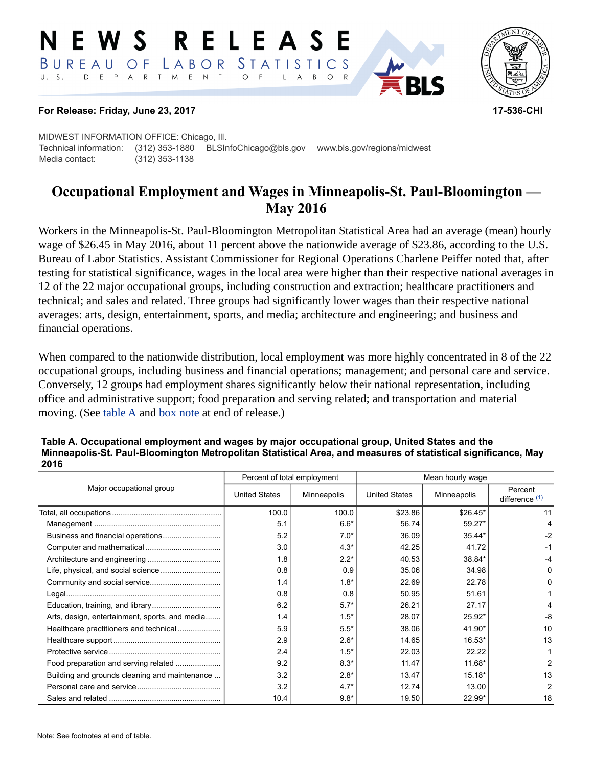#### W S RELEAS STATISTICS  $B$  U R E A U  $\overline{O}$  F LABOR D E P A R T M E N T  $U. S.$  $\circ$  $B$  $\circ$



#### **For Release: Friday, June 23, 2017 17-536-CHI**

MIDWEST INFORMATION OFFICE: Chicago, Ill. Technical information: (312) 353-1880 BLSInfoChicago@bls.gov www.bls.gov/regions/midwest Media contact: (312) 353-1138

# **Occupational Employment and Wages in Minneapolis-St. Paul-Bloomington — May 2016**

Workers in the Minneapolis-St. Paul-Bloomington Metropolitan Statistical Area had an average (mean) hourly wage of \$26.45 in May 2016, about 11 percent above the nationwide average of \$23.86, according to the U.S. Bureau of Labor Statistics. Assistant Commissioner for Regional Operations Charlene Peiffer noted that, after testing for statistical significance, wages in the local area were higher than their respective national averages in 12 of the 22 major occupational groups, including construction and extraction; healthcare practitioners and technical; and sales and related. Three groups had significantly lower wages than their respective national averages: arts, design, entertainment, sports, and media; architecture and engineering; and business and financial operations.

When compared to the nationwide distribution, local employment was more highly concentrated in 8 of the 22 occupational groups, including business and financial operations; management; and personal care and service. Conversely, 12 groups had employment shares significantly below their national representation, including office and administrative support; food preparation and serving related; and transportation and material moving. (See table A and [box note](#page-2-0) at end of release.)

| Table A. Occupational employment and wages by major occupational group, United States and the<br>Minneapolis-St. Paul-Bloomington Metropolitan Statistical Area, and measures of statistical significance, May<br>2016 |                             |                  |  |  |  |
|------------------------------------------------------------------------------------------------------------------------------------------------------------------------------------------------------------------------|-----------------------------|------------------|--|--|--|
|                                                                                                                                                                                                                        | Percent of total employment | Mean hourly wage |  |  |  |

|                                                | Percent of total employment |             | Mean hourly wage     |             |                           |
|------------------------------------------------|-----------------------------|-------------|----------------------|-------------|---------------------------|
| Major occupational group                       | <b>United States</b>        | Minneapolis | <b>United States</b> | Minneapolis | Percent<br>difference (1) |
|                                                | 100.0                       | 100.0       | \$23.86              | $$26.45*$   | 11                        |
|                                                | 5.1                         | $6.6*$      | 56.74                | 59.27*      | 4                         |
| Business and financial operations              | 5.2                         | $7.0*$      | 36.09                | 35.44*      | $-2$                      |
|                                                | 3.0                         | $4.3*$      | 42.25                | 41.72       | -1                        |
|                                                | 1.8                         | $2.2*$      | 40.53                | 38.84*      | -4                        |
|                                                | 0.8                         | 0.9         | 35.06                | 34.98       | 0                         |
|                                                | 1.4                         | $1.8*$      | 22.69                | 22.78       | n                         |
|                                                | 0.8                         | 0.8         | 50.95                | 51.61       |                           |
|                                                | 6.2                         | $5.7*$      | 26.21                | 27.17       |                           |
| Arts, design, entertainment, sports, and media | 1.4                         | $1.5*$      | 28.07                | $25.92*$    | -8                        |
| Healthcare practitioners and technical         | 5.9                         | $5.5*$      | 38.06                | 41.90*      | 10                        |
|                                                | 2.9                         | $2.6*$      | 14.65                | $16.53*$    | 13                        |
|                                                | 2.4                         | $1.5*$      | 22.03                | 22.22       |                           |
| Food preparation and serving related           | 9.2                         | $8.3*$      | 11.47                | 11.68*      | 2                         |
| Building and grounds cleaning and maintenance  | 3.2                         | $2.8*$      | 13.47                | $15.18*$    | 13                        |
|                                                | 3.2                         | $4.7*$      | 12.74                | 13.00       | $\overline{2}$            |
|                                                | 10.4                        | $9.8*$      | 19.50                | 22.99*      | 18                        |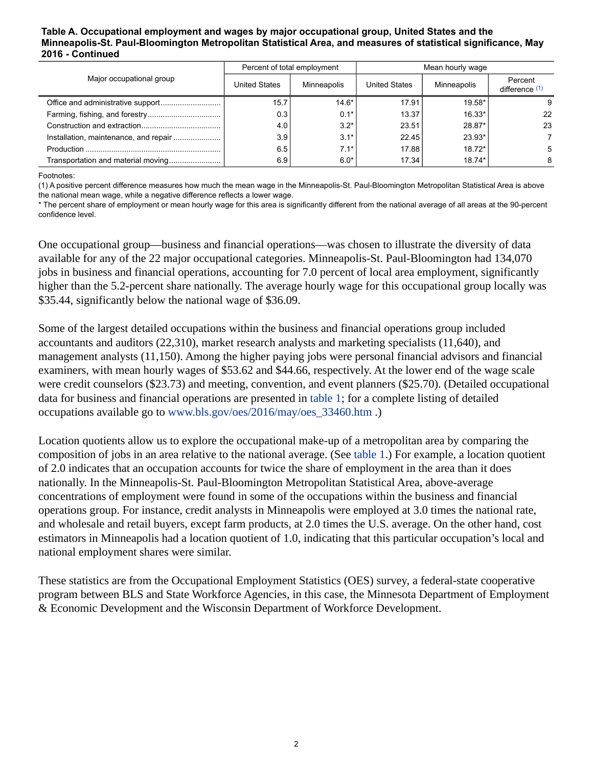#### **Table A. Occupational employment and wages by major occupational group, United States and the Minneapolis-St. Paul-Bloomington Metropolitan Statistical Area, and measures of statistical significance, May 2016 - Continued**

|                                       | Percent of total employment |             | Mean hourly wage     |             |                           |
|---------------------------------------|-----------------------------|-------------|----------------------|-------------|---------------------------|
| Major occupational group              | <b>United States</b>        | Minneapolis | <b>United States</b> | Minneapolis | Percent<br>difference (1) |
|                                       | 15.7                        | $14.6*$     | 17.91                | $19.58*$    | 9                         |
|                                       | 0.3                         | $0.1*$      | 13.37                | 16.33*      | 22                        |
|                                       | 4.0                         | $3.2*$      | 23.51                | 28.87*      | 23                        |
| Installation, maintenance, and repair | 3.9                         | $3.1*$      | 22.45                | 23.93*      |                           |
|                                       | 6.5                         | $7.1*$      | 17.88                | $18.72*$    | 5                         |
|                                       | 6.9                         | $6.0*$      | 17.34                | $18.74*$    | 8                         |

Footnotes:

<span id="page-1-0"></span>(1) A positive percent difference measures how much the mean wage in the Minneapolis-St. Paul-Bloomington Metropolitan Statistical Area is above the national mean wage, while a negative difference reflects a lower wage.

\* The percent share of employment or mean hourly wage for this area is significantly different from the national average of all areas at the 90-percent confidence level.

One occupational group—business and financial operations—was chosen to illustrate the diversity of data available for any of the 22 major occupational categories. Minneapolis-St. Paul-Bloomington had 134,070 jobs in business and financial operations, accounting for 7.0 percent of local area employment, significantly higher than the 5.2-percent share nationally. The average hourly wage for this occupational group locally was \$35.44, significantly below the national wage of \$36.09.

Some of the largest detailed occupations within the business and financial operations group included accountants and auditors (22,310), market research analysts and marketing specialists (11,640), and management analysts (11,150). Among the higher paying jobs were personal financial advisors and financial examiners, with mean hourly wages of \$53.62 and \$44.66, respectively. At the lower end of the wage scale were credit counselors (\$23.73) and meeting, convention, and event planners (\$25.70). (Detailed occupational data for business and financial operations are presented in table 1; for a complete listing of detailed occupations available go to [www.bls.gov/oes/2016/may/oes\\_33460.htm](https://www.bls.gov/oes/2016/may/oes_33460.htm) .)

Location quotients allow us to explore the occupational make-up of a metropolitan area by comparing the composition of jobs in an area relative to the national average. (See table 1.) For example, a location quotient of 2.0 indicates that an occupation accounts for twice the share of employment in the area than it does nationally. In the Minneapolis-St. Paul-Bloomington Metropolitan Statistical Area, above-average concentrations of employment were found in some of the occupations within the business and financial operations group. For instance, credit analysts in Minneapolis were employed at 3.0 times the national rate, and wholesale and retail buyers, except farm products, at 2.0 times the U.S. average. On the other hand, cost estimators in Minneapolis had a location quotient of 1.0, indicating that this particular occupation's local and national employment shares were similar.

These statistics are from the Occupational Employment Statistics (OES) survey, a federal-state cooperative program between BLS and State Workforce Agencies, in this case, the Minnesota Department of Employment & Economic Development and the Wisconsin Department of Workforce Development.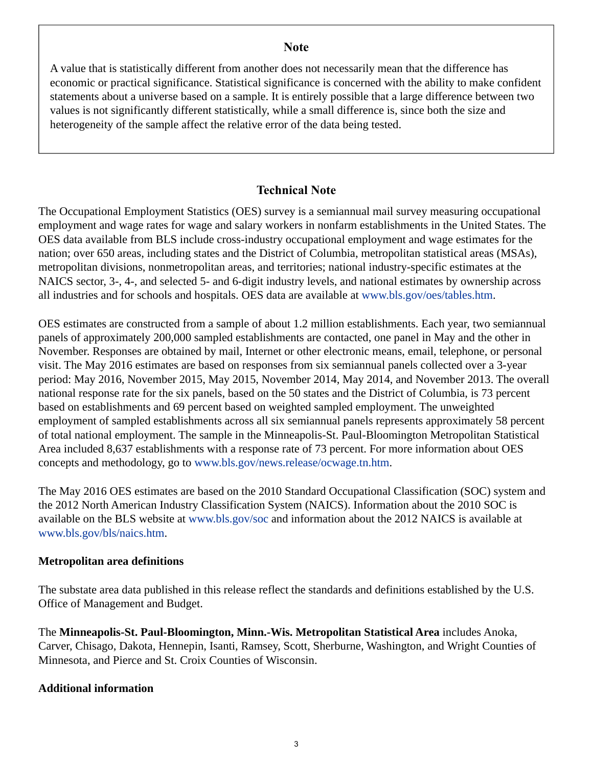# **Note**

<span id="page-2-0"></span>A value that is statistically different from another does not necessarily mean that the difference has economic or practical significance. Statistical significance is concerned with the ability to make confident statements about a universe based on a sample. It is entirely possible that a large difference between two values is not significantly different statistically, while a small difference is, since both the size and heterogeneity of the sample affect the relative error of the data being tested.

# **Technical Note**

The Occupational Employment Statistics (OES) survey is a semiannual mail survey measuring occupational employment and wage rates for wage and salary workers in nonfarm establishments in the United States. The OES data available from BLS include cross-industry occupational employment and wage estimates for the nation; over 650 areas, including states and the District of Columbia, metropolitan statistical areas (MSAs), metropolitan divisions, nonmetropolitan areas, and territories; national industry-specific estimates at the NAICS sector, 3-, 4-, and selected 5- and 6-digit industry levels, and national estimates by ownership across all industries and for schools and hospitals. OES data are available at [www.bls.gov/oes/tables.htm](https://www.bls.gov/oes/tables.htm).

OES estimates are constructed from a sample of about 1.2 million establishments. Each year, two semiannual panels of approximately 200,000 sampled establishments are contacted, one panel in May and the other in November. Responses are obtained by mail, Internet or other electronic means, email, telephone, or personal visit. The May 2016 estimates are based on responses from six semiannual panels collected over a 3-year period: May 2016, November 2015, May 2015, November 2014, May 2014, and November 2013. The overall national response rate for the six panels, based on the 50 states and the District of Columbia, is 73 percent based on establishments and 69 percent based on weighted sampled employment. The unweighted employment of sampled establishments across all six semiannual panels represents approximately 58 percent of total national employment. The sample in the Minneapolis-St. Paul-Bloomington Metropolitan Statistical Area included 8,637 establishments with a response rate of 73 percent. For more information about OES concepts and methodology, go to [www.bls.gov/news.release/ocwage.tn.htm](https://www.bls.gov/news.release/ocwage.tn.htm).

The May 2016 OES estimates are based on the 2010 Standard Occupational Classification (SOC) system and the 2012 North American Industry Classification System (NAICS). Information about the 2010 SOC is available on the BLS website at [www.bls.gov/soc](https://www.bls.gov/soc) and information about the 2012 NAICS is available at [www.bls.gov/bls/naics.htm.](https://www.bls.gov/bls/naics.htm)

# **Metropolitan area definitions**

The substate area data published in this release reflect the standards and definitions established by the U.S. Office of Management and Budget.

The **Minneapolis-St. Paul-Bloomington, Minn.-Wis. Metropolitan Statistical Area** includes Anoka, Carver, Chisago, Dakota, Hennepin, Isanti, Ramsey, Scott, Sherburne, Washington, and Wright Counties of Minnesota, and Pierce and St. Croix Counties of Wisconsin.

# **Additional information**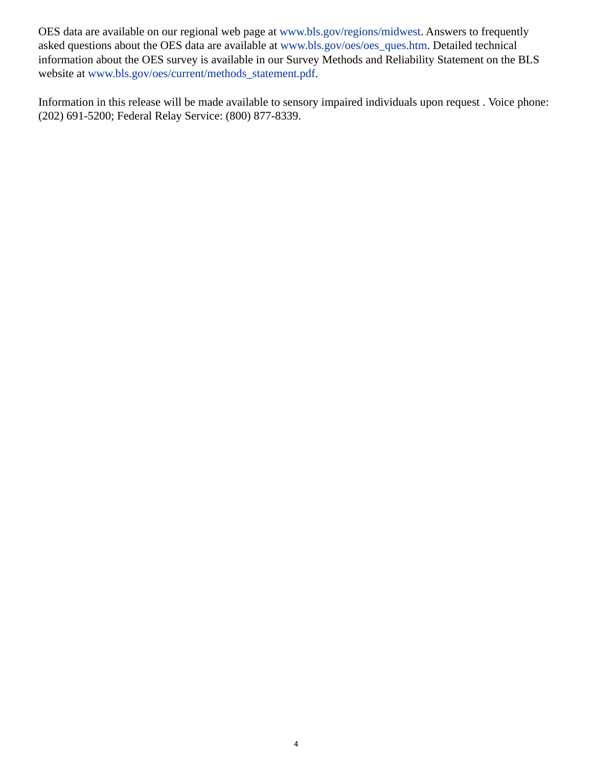OES data are available on our regional web page at [www.bls.gov/regions/midwest](https://www.bls.gov/regions/midwest). Answers to frequently asked questions about the OES data are available at [www.bls.gov/oes/oes\\_ques.htm](https://www.bls.gov/oes/oes_ques.htm). Detailed technical information about the OES survey is available in our Survey Methods and Reliability Statement on the BLS website at [www.bls.gov/oes/current/methods\\_statement.pdf.](https://www.bls.gov/oes/current/methods_statement.pdf)

Information in this release will be made available to sensory impaired individuals upon request . Voice phone: (202) 691-5200; Federal Relay Service: (800) 877-8339.